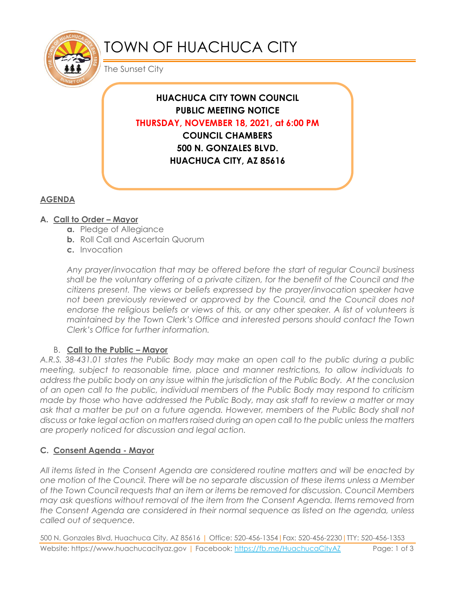

# TOWN OF HUACHUCA CITY

The Sunset City

**HUACHUCA CITY TOWN COUNCIL PUBLIC MEETING NOTICE THURSDAY, NOVEMBER 18, 2021, at 6:00 PM COUNCIL CHAMBERS 500 N. GONZALES BLVD. HUACHUCA CITY, AZ 85616**

# **AGENDA**

## **A. Call to Order – Mayor**

- **a.** Pledge of Allegiance
- **b.** Roll Call and Ascertain Quorum
- **c.** Invocation

*Any prayer/invocation that may be offered before the start of regular Council business shall be the voluntary offering of a private citizen, for the benefit of the Council and the citizens present. The views or beliefs expressed by the prayer/invocation speaker have*  not been previously reviewed or approved by the Council, and the Council does not endorse the religious beliefs or views of this, or any other speaker. A list of volunteers is *maintained by the Town Clerk's Office and interested persons should contact the Town Clerk's Office for further information.*

### B. **Call to the Public – Mayor**

*A.R.S. 38-431.01 states the Public Body may make an open call to the public during a public meeting, subject to reasonable time, place and manner restrictions, to allow individuals to address the public body on any issue within the jurisdiction of the Public Body. At the conclusion of an open call to the public, individual members of the Public Body may respond to criticism made by those who have addressed the Public Body, may ask staff to review a matter or may ask that a matter be put on a future agenda. However, members of the Public Body shall not discuss or take legal action on matters raised during an open call to the public unless the matters are properly noticed for discussion and legal action.*

## **C. Consent Agenda - Mayor**

*All items listed in the Consent Agenda are considered routine matters and will be enacted by one motion of the Council. There will be no separate discussion of these items unless a Member of the Town Council requests that an item or items be removed for discussion. Council Members may ask questions without removal of the item from the Consent Agenda. Items removed from the Consent Agenda are considered in their normal sequence as listed on the agenda, unless called out of sequence.*

500 N. Gonzales Blvd, Huachuca City, AZ 85616 | Office: 520-456-1354|Fax: 520-456-2230|TTY: 520-456-1353 Website: https://www.huachucacityaz.gov | Facebook:<https://fb.me/HuachucaCityAZ> Page: 1 of 3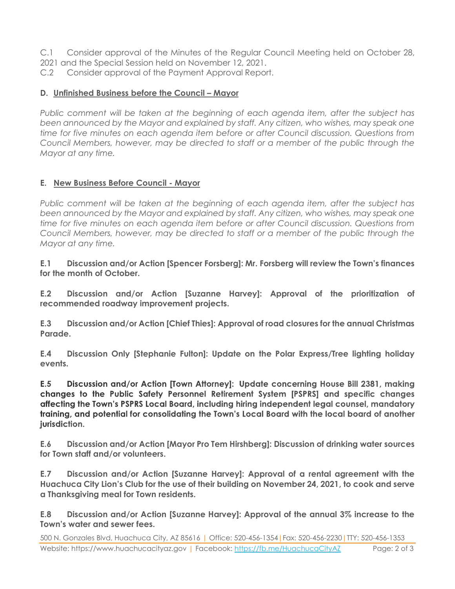- C.1 Consider approval of the Minutes of the Regular Council Meeting held on October 28,
- 2021 and the Special Session held on November 12, 2021.
- C.2 Consider approval of the Payment Approval Report.

#### **D.** Unfinished Business before the Council – Mayor

*Public comment will be taken at the beginning of each agenda item, after the subject has been announced by the Mayor and explained by staff. Any citizen, who wishes, may speak one time for five minutes on each agenda item before or after Council discussion. Questions from Council Members, however, may be directed to staff or a member of the public through the Mayor at any time.*

#### **E. New Business Before Council - Mayor**

*Public comment will be taken at the beginning of each agenda item, after the subject has been announced by the Mayor and explained by staff. Any citizen, who wishes, may speak one time for five minutes on each agenda item before or after Council discussion. Questions from Council Members, however, may be directed to staff or a member of the public through the Mayor at any time.* 

**E.1 Discussion and/or Action [Spencer Forsberg]: Mr. Forsberg will review the Town's finances for the month of October.**

**E.2 Discussion and/or Action [Suzanne Harvey]: Approval of the prioritization of recommended roadway improvement projects.**

**E.3 Discussion and/or Action [Chief Thies]: Approval of road closures for the annual Christmas Parade.**

**E.4 Discussion Only [Stephanie Fulton]: Update on the Polar Express/Tree lighting holiday events.**

 $E.5$ Discussion and/or Action [Town Attorney]: Update concerning House Bill 2381, making changes to the Public Safety Personnel Retirement System [PSPRS] and specific changes affecting the Town's PSPRS Local Board, including hiring independent legal counsel, mandatory training, and potential for consolidating the Town's Local Board with the local board of another jurisdiction.

**E.6 Discussion and/or Action [Mayor Pro Tem Hirshberg]: Discussion of drinking water sources for Town staff and/or volunteers.** 

**E.7 Discussion and/or Action [Suzanne Harvey]: Approval of a rental agreement with the Huachuca City Lion's Club for the use of their building on November 24, 2021, to cook and serve a Thanksgiving meal for Town residents.**

**E.8 Discussion and/or Action [Suzanne Harvey]: Approval of the annual 3% increase to the Town's water and sewer fees.**